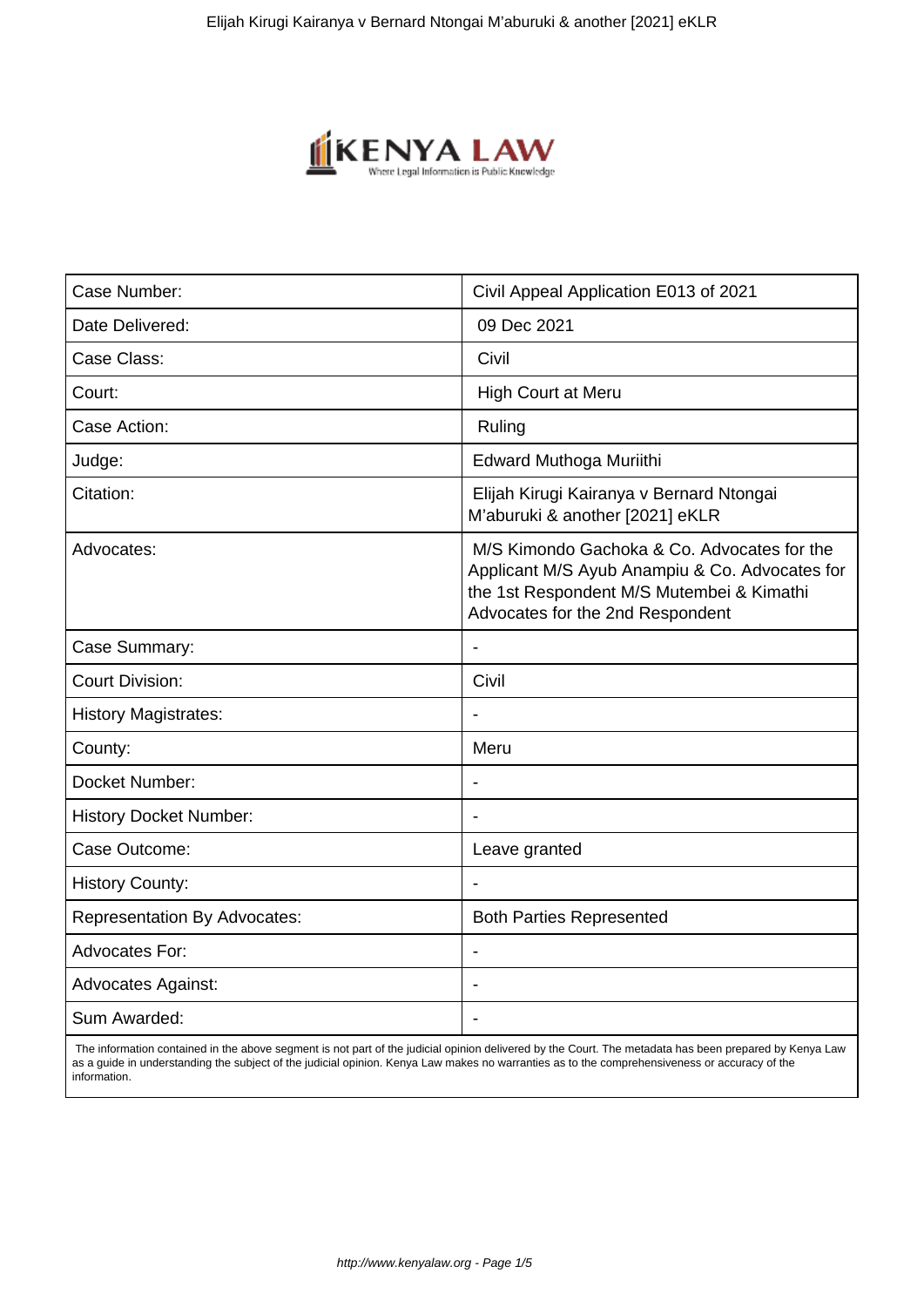

| Civil Appeal Application E013 of 2021                                                                                                                                          |
|--------------------------------------------------------------------------------------------------------------------------------------------------------------------------------|
| 09 Dec 2021                                                                                                                                                                    |
| Civil                                                                                                                                                                          |
| <b>High Court at Meru</b>                                                                                                                                                      |
| Ruling                                                                                                                                                                         |
| Edward Muthoga Muriithi                                                                                                                                                        |
| Elijah Kirugi Kairanya v Bernard Ntongai<br>M'aburuki & another [2021] eKLR                                                                                                    |
| M/S Kimondo Gachoka & Co. Advocates for the<br>Applicant M/S Ayub Anampiu & Co. Advocates for<br>the 1st Respondent M/S Mutembei & Kimathi<br>Advocates for the 2nd Respondent |
| $\blacksquare$                                                                                                                                                                 |
| Civil                                                                                                                                                                          |
|                                                                                                                                                                                |
| Meru                                                                                                                                                                           |
|                                                                                                                                                                                |
|                                                                                                                                                                                |
| Leave granted                                                                                                                                                                  |
|                                                                                                                                                                                |
| <b>Both Parties Represented</b>                                                                                                                                                |
|                                                                                                                                                                                |
|                                                                                                                                                                                |
|                                                                                                                                                                                |
|                                                                                                                                                                                |

 The information contained in the above segment is not part of the judicial opinion delivered by the Court. The metadata has been prepared by Kenya Law as a guide in understanding the subject of the judicial opinion. Kenya Law makes no warranties as to the comprehensiveness or accuracy of the information.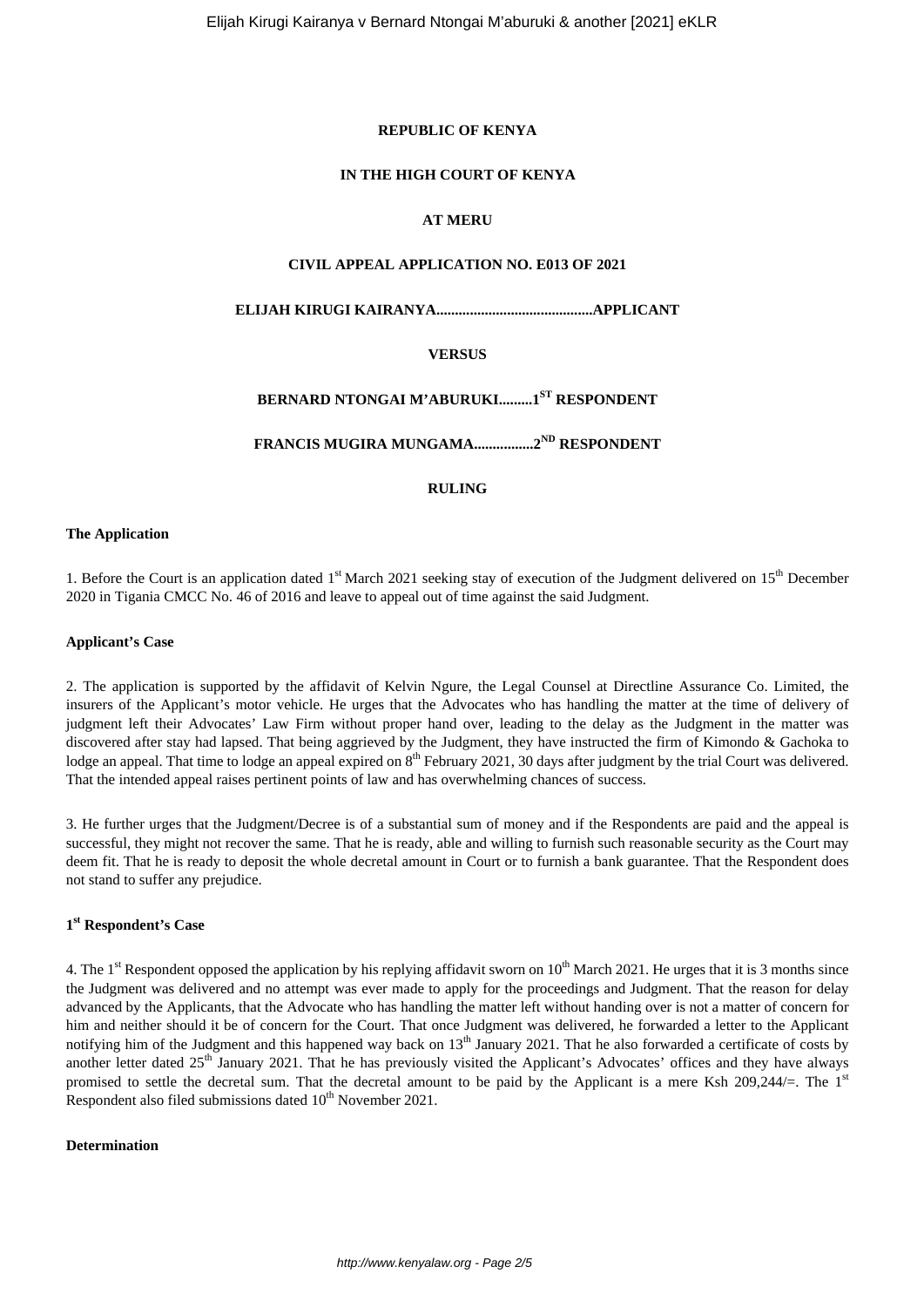## **REPUBLIC OF KENYA**

## **IN THE HIGH COURT OF KENYA**

# **AT MERU**

# **CIVIL APPEAL APPLICATION NO. E013 OF 2021**

**ELIJAH KIRUGI KAIRANYA..........................................APPLICANT**

# **VERSUS**

# **BERNARD NTONGAI M'ABURUKI.........1ST RESPONDENT**

**FRANCIS MUGIRA MUNGAMA................2ND RESPONDENT**

# **RULING**

## **The Application**

1. Before the Court is an application dated 1<sup>st</sup> March 2021 seeking stay of execution of the Judgment delivered on 15<sup>th</sup> December 2020 in Tigania CMCC No. 46 of 2016 and leave to appeal out of time against the said Judgment.

#### **Applicant's Case**

2. The application is supported by the affidavit of Kelvin Ngure, the Legal Counsel at Directline Assurance Co. Limited, the insurers of the Applicant's motor vehicle. He urges that the Advocates who has handling the matter at the time of delivery of judgment left their Advocates' Law Firm without proper hand over, leading to the delay as the Judgment in the matter was discovered after stay had lapsed. That being aggrieved by the Judgment, they have instructed the firm of Kimondo & Gachoka to lodge an appeal. That time to lodge an appeal expired on 8<sup>th</sup> February 2021, 30 days after judgment by the trial Court was delivered. That the intended appeal raises pertinent points of law and has overwhelming chances of success.

3. He further urges that the Judgment/Decree is of a substantial sum of money and if the Respondents are paid and the appeal is successful, they might not recover the same. That he is ready, able and willing to furnish such reasonable security as the Court may deem fit. That he is ready to deposit the whole decretal amount in Court or to furnish a bank guarantee. That the Respondent does not stand to suffer any prejudice.

# **1 st Respondent's Case**

4. The 1<sup>st</sup> Respondent opposed the application by his replying affidavit sworn on  $10^{th}$  March 2021. He urges that it is 3 months since the Judgment was delivered and no attempt was ever made to apply for the proceedings and Judgment. That the reason for delay advanced by the Applicants, that the Advocate who has handling the matter left without handing over is not a matter of concern for him and neither should it be of concern for the Court. That once Judgment was delivered, he forwarded a letter to the Applicant notifying him of the Judgment and this happened way back on 13<sup>th</sup> January 2021. That he also forwarded a certificate of costs by another letter dated  $25<sup>th</sup>$  January 2021. That he has previously visited the Applicant's Advocates' offices and they have always promised to settle the decretal sum. That the decretal amount to be paid by the Applicant is a mere Ksh 209,244/=. The  $1<sup>st</sup>$ Respondent also filed submissions dated  $10^{th}$  November 2021.

### **Determination**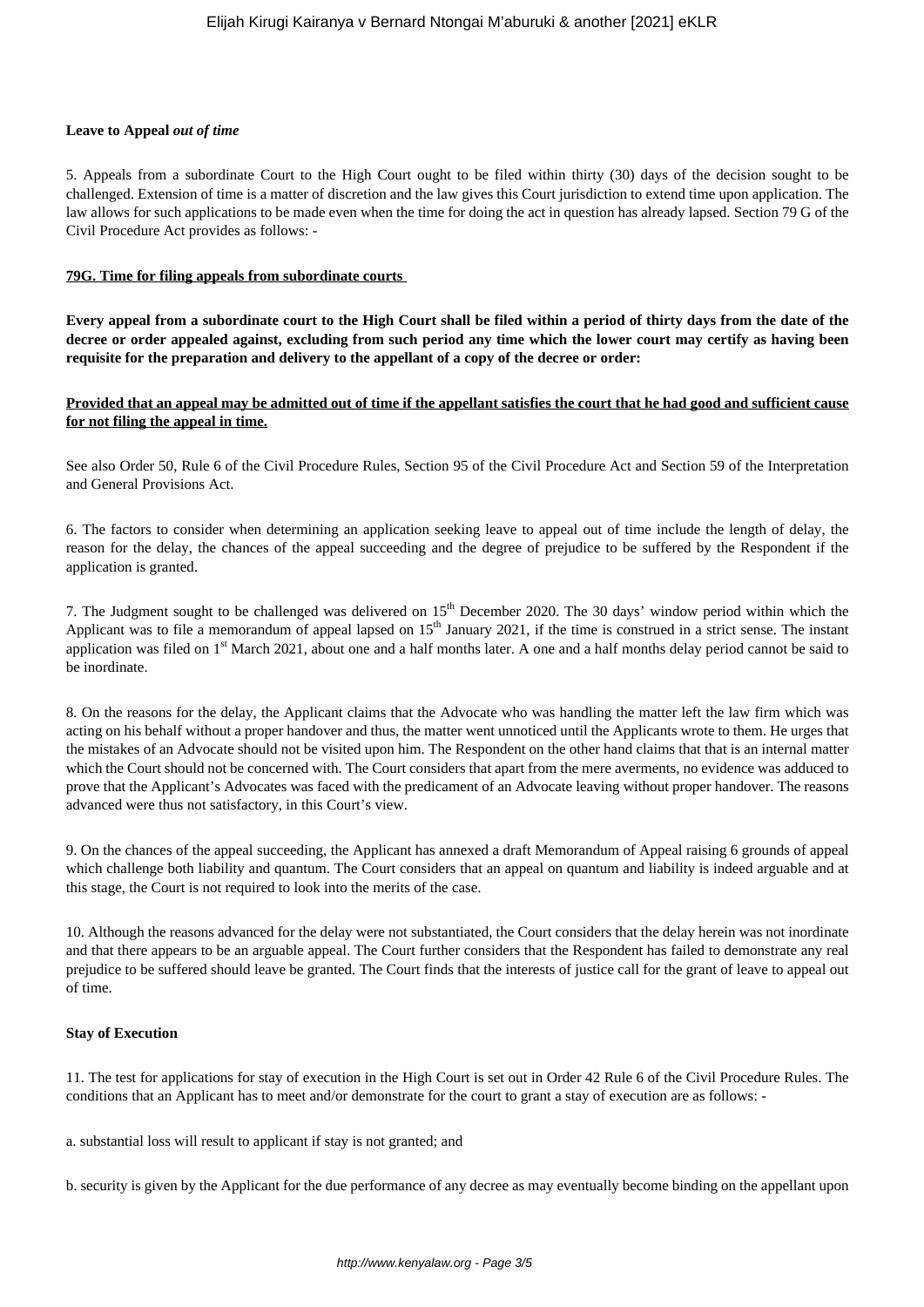# **Leave to Appeal** *out of time*

5. Appeals from a subordinate Court to the High Court ought to be filed within thirty (30) days of the decision sought to be challenged. Extension of time is a matter of discretion and the law gives this Court jurisdiction to extend time upon application. The law allows for such applications to be made even when the time for doing the act in question has already lapsed. Section 79 G of the Civil Procedure Act provides as follows: -

# **79G. Time for filing appeals from subordinate courts**

**Every appeal from a subordinate court to the High Court shall be filed within a period of thirty days from the date of the decree or order appealed against, excluding from such period any time which the lower court may certify as having been requisite for the preparation and delivery to the appellant of a copy of the decree or order:** 

# **Provided that an appeal may be admitted out of time if the appellant satisfies the court that he had good and sufficient cause for not filing the appeal in time.**

See also Order 50, Rule 6 of the Civil Procedure Rules, Section 95 of the Civil Procedure Act and Section 59 of the Interpretation and General Provisions Act.

6. The factors to consider when determining an application seeking leave to appeal out of time include the length of delay, the reason for the delay, the chances of the appeal succeeding and the degree of prejudice to be suffered by the Respondent if the application is granted.

7. The Judgment sought to be challenged was delivered on 15<sup>th</sup> December 2020. The 30 days' window period within which the Applicant was to file a memorandum of appeal lapsed on  $15<sup>th</sup>$  January 2021, if the time is construed in a strict sense. The instant application was filed on  $1<sup>st</sup>$  March 2021, about one and a half months later. A one and a half months delay period cannot be said to be inordinate.

8. On the reasons for the delay, the Applicant claims that the Advocate who was handling the matter left the law firm which was acting on his behalf without a proper handover and thus, the matter went unnoticed until the Applicants wrote to them. He urges that the mistakes of an Advocate should not be visited upon him. The Respondent on the other hand claims that that is an internal matter which the Court should not be concerned with. The Court considers that apart from the mere averments, no evidence was adduced to prove that the Applicant's Advocates was faced with the predicament of an Advocate leaving without proper handover. The reasons advanced were thus not satisfactory, in this Court's view.

9. On the chances of the appeal succeeding, the Applicant has annexed a draft Memorandum of Appeal raising 6 grounds of appeal which challenge both liability and quantum. The Court considers that an appeal on quantum and liability is indeed arguable and at this stage, the Court is not required to look into the merits of the case.

10. Although the reasons advanced for the delay were not substantiated, the Court considers that the delay herein was not inordinate and that there appears to be an arguable appeal. The Court further considers that the Respondent has failed to demonstrate any real prejudice to be suffered should leave be granted. The Court finds that the interests of justice call for the grant of leave to appeal out of time.

#### **Stay of Execution**

11. The test for applications for stay of execution in the High Court is set out in Order 42 Rule 6 of the Civil Procedure Rules. The conditions that an Applicant has to meet and/or demonstrate for the court to grant a stay of execution are as follows: -

a. substantial loss will result to applicant if stay is not granted; and

b. security is given by the Applicant for the due performance of any decree as may eventually become binding on the appellant upon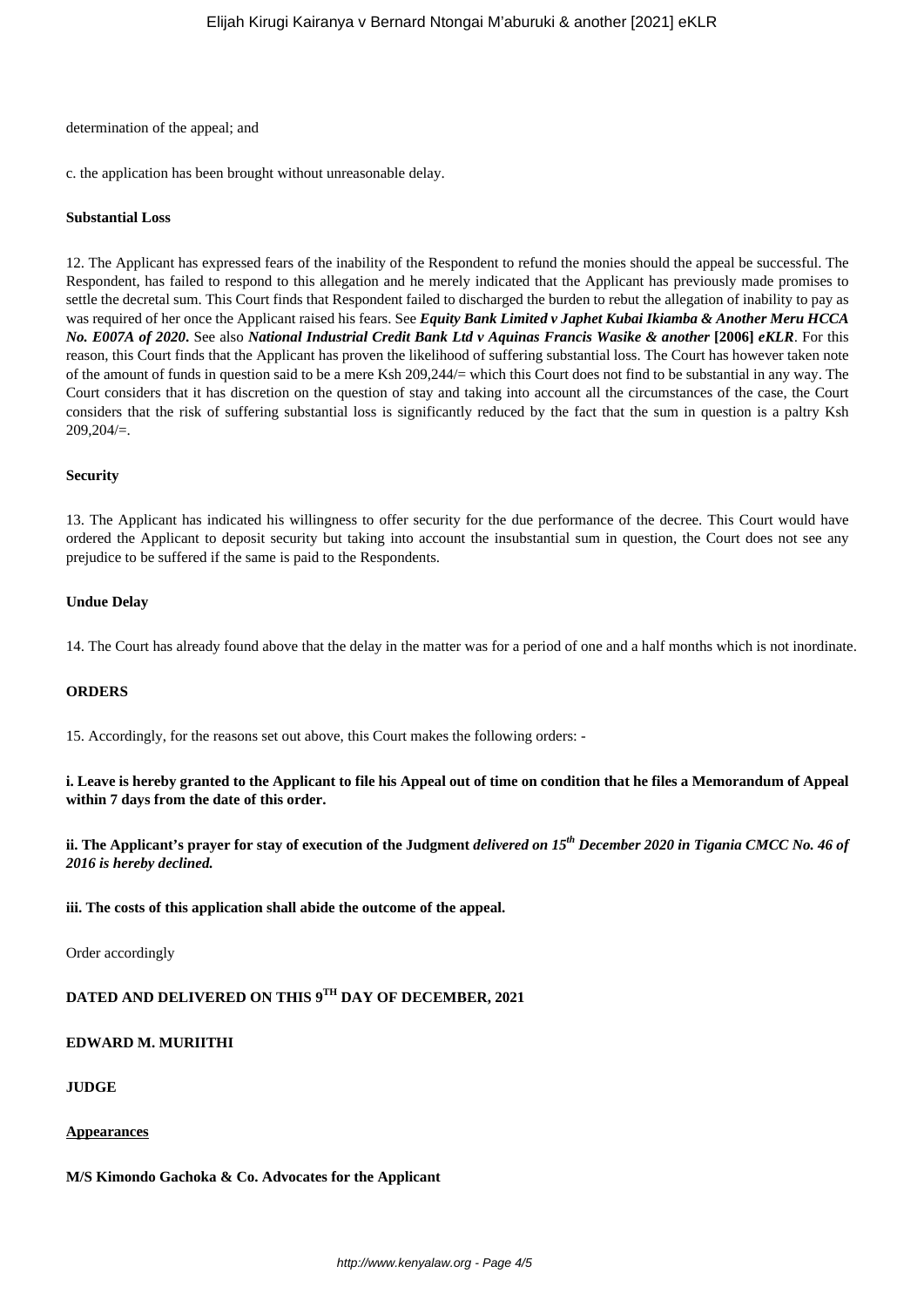#### determination of the appeal; and

c. the application has been brought without unreasonable delay.

#### **Substantial Loss**

12. The Applicant has expressed fears of the inability of the Respondent to refund the monies should the appeal be successful. The Respondent, has failed to respond to this allegation and he merely indicated that the Applicant has previously made promises to settle the decretal sum. This Court finds that Respondent failed to discharged the burden to rebut the allegation of inability to pay as was required of her once the Applicant raised his fears. See *Equity Bank Limited v Japhet Kubai Ikiamba & Another Meru HCCA No. E007A of 2020***.** See also *National Industrial Credit Bank Ltd v Aquinas Francis Wasike & another* **[2006]** *eKLR*. For this reason, this Court finds that the Applicant has proven the likelihood of suffering substantial loss. The Court has however taken note of the amount of funds in question said to be a mere Ksh 209,244/= which this Court does not find to be substantial in any way. The Court considers that it has discretion on the question of stay and taking into account all the circumstances of the case, the Court considers that the risk of suffering substantial loss is significantly reduced by the fact that the sum in question is a paltry Ksh 209,204/=.

### **Security**

13. The Applicant has indicated his willingness to offer security for the due performance of the decree. This Court would have ordered the Applicant to deposit security but taking into account the insubstantial sum in question, the Court does not see any prejudice to be suffered if the same is paid to the Respondents.

### **Undue Delay**

14. The Court has already found above that the delay in the matter was for a period of one and a half months which is not inordinate.

# **ORDERS**

15. Accordingly, for the reasons set out above, this Court makes the following orders: -

**i. Leave is hereby granted to the Applicant to file his Appeal out of time on condition that he files a Memorandum of Appeal within 7 days from the date of this order.**

**ii. The Applicant's prayer for stay of execution of the Judgment** *delivered on 15th December 2020 in Tigania CMCC No. 46 of 2016 is hereby declined.*

**iii. The costs of this application shall abide the outcome of the appeal.**

Order accordingly

# **DATED AND DELIVERED ON THIS 9TH DAY OF DECEMBER, 2021**

# **EDWARD M. MURIITHI**

#### **JUDGE**

#### **Appearances**

**M/S Kimondo Gachoka & Co. Advocates for the Applicant**